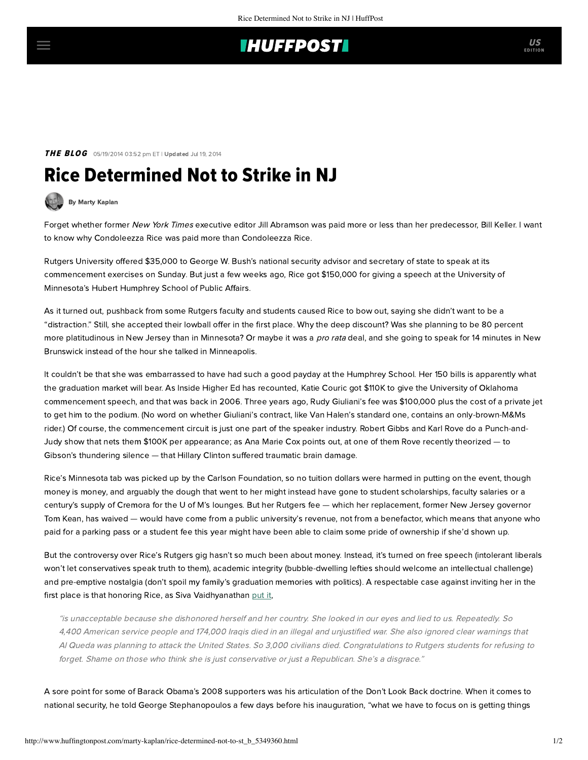## **IHUFFPOSTI**

### THE BLOG 05/19/2014 03:52 pm ET | Updated Jul 19, 2014

# Rice Determined Not to Strike in NJ



[By Marty Kaplan](http://www.huffingtonpost.com/author/marty-kaplan)

Forget whether former New York Times executive editor Jill Abramson was paid more or less than her predecessor, Bill Keller. I want to know why Condoleezza Rice was paid more than Condoleezza Rice.

Rutgers University offered \$35,000 to George W. Bush's national security advisor and secretary of state to speak at its commencement exercises on Sunday. But just a few weeks ago, Rice got \$150,000 for giving a speech at the University of Minnesota's Hubert Humphrey School of Public Affairs.

As it turned out, pushback from some Rutgers faculty and students caused Rice to bow out, saying she didn't want to be a "distraction." Still, she accepted their lowball offer in the first place. Why the deep discount? Was she planning to be 80 percent more platitudinous in New Jersey than in Minnesota? Or maybe it was a pro rata deal, and she going to speak for 14 minutes in New Brunswick instead of the hour she talked in Minneapolis.

It couldn't be that she was embarrassed to have had such a good payday at the Humphrey School. Her 150 bills is apparently what the graduation market will bear. As [Inside Higher Ed](http://www.insidehighered.com/views/2011/05/09/essay_criticizing_the_practice_of_paying_graduation_speakers#sthash.LBSCQMB2.ATu095oc.dpbs) has recounted, Katie Couric got \$110K to give the University of Oklahoma commencement speech, and that was back in 2006. Three years ago, Rudy Giuliani's fee was \$100,000 plus the cost of a private jet to get him to the podium. (No word on whether Giuliani's contract, like Van Halen's standard one, contains an only-brown-M&Ms rider.) Of course, the commencement circuit is just one part of the speaker industry. Robert Gibbs and Karl Rove do a Punch-and-Judy show that nets them \$100K per appearance; as Ana Marie Cox [points out](http://www.theguardian.com/commentisfree/2014/may/13/karl-rove-hillary-clinton-brain-damage-outrage), at one of them Rove recently theorized — to Gibson's thundering silence — that Hillary Clinton suffered traumatic brain damage.

Rice's Minnesota tab was picked up by the Carlson Foundation, so no tuition dollars were harmed in putting on the event, though money is money, and arguably the dough that went to her might instead have gone to student scholarships, faculty salaries or a century's supply of Cremora for the U of M's lounges. But her Rutgers fee — which her replacement, former New Jersey governor Tom Kean, has waived — would have come from a public university's revenue, not from a benefactor, which means that anyone who paid for a parking pass or a student fee this year might have been able to claim some pride of ownership if she'd shown up.

But the controversy over Rice's Rutgers gig hasn't so much been about money. Instead, it's turned on free speech (intolerant liberals won't let conservatives speak truth to them), academic integrity (bubble-dwelling lefties should welcome an intellectual challenge) and pre-emptive nostalgia (don't spoil my family's graduation memories with politics). A respectable case against inviting her in the first place is that honoring Rice, as Siva Vaidhyanathan [put it,](http://www.esquire.com/blogs/politics/rutgers-condoleezza-rice-speech-051614)

"is unacceptable because she dishonored herself and her country. She looked in our eyes and lied to us. Repeatedly. So 4,400 American service people and 174,000 Iraqis died in an illegal and unjustified war. She also ignored clear warnings that Al Queda was planning to attack the United States. So 3,000 civilians died. Congratulations to Rutgers students for refusing to forget. Shame on those who think she is just conservative or just a Republican. She's a disgrace."

A sore point for some of Barack Obama's 2008 supporters was his articulation of the Don't Look Back doctrine. When it comes to national security, he [told](https://www.youtube.com/watch?v=0K27oIJlAlA) George Stephanopoulos a few days before his inauguration, "what we have to focus on is getting things